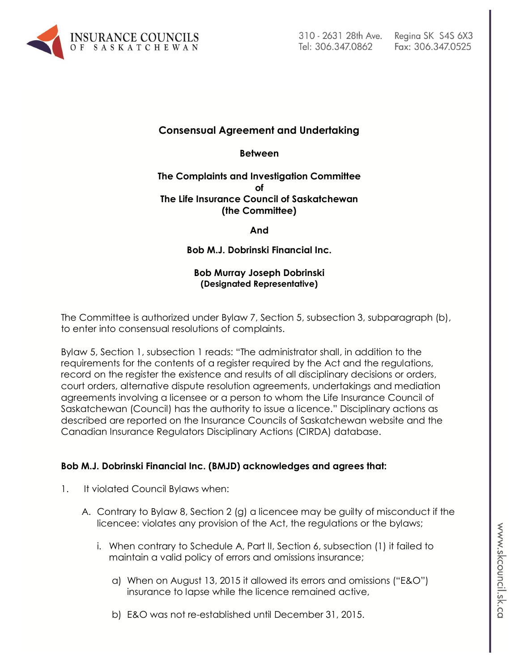

# Fax: 306.347.0525

## **Consensual Agreement and Undertaking**

**Between**

#### **The Complaints and Investigation Committee of The Life Insurance Council of Saskatchewan (the Committee)**

**And**

**Bob M.J. Dobrinski Financial Inc.**

#### **Bob Murray Joseph Dobrinski (Designated Representative)**

The Committee is authorized under Bylaw 7, Section 5, subsection 3, subparagraph (b), to enter into consensual resolutions of complaints.

Bylaw 5, Section 1, subsection 1 reads: "The administrator shall, in addition to the requirements for the contents of a register required by the Act and the regulations, record on the register the existence and results of all disciplinary decisions or orders, court orders, alternative dispute resolution agreements, undertakings and mediation agreements involving a licensee or a person to whom the Life Insurance Council of Saskatchewan (Council) has the authority to issue a licence." Disciplinary actions as described are reported on the Insurance Councils of Saskatchewan website and the Canadian Insurance Regulators Disciplinary Actions (CIRDA) database.

### **Bob M.J. Dobrinski Financial Inc. (BMJD) acknowledges and agrees that:**

- 1. It violated Council Bylaws when:
	- A. Contrary to Bylaw 8, Section 2 (g) a licencee may be guilty of misconduct if the licencee: violates any provision of the Act, the regulations or the bylaws;
		- i. When contrary to Schedule A, Part II, Section 6, subsection (1) it failed to maintain a valid policy of errors and omissions insurance;
			- a) When on August 13, 2015 it allowed its errors and omissions ("E&O") insurance to lapse while the licence remained active,
			- b) E&O was not re-established until December 31, 2015.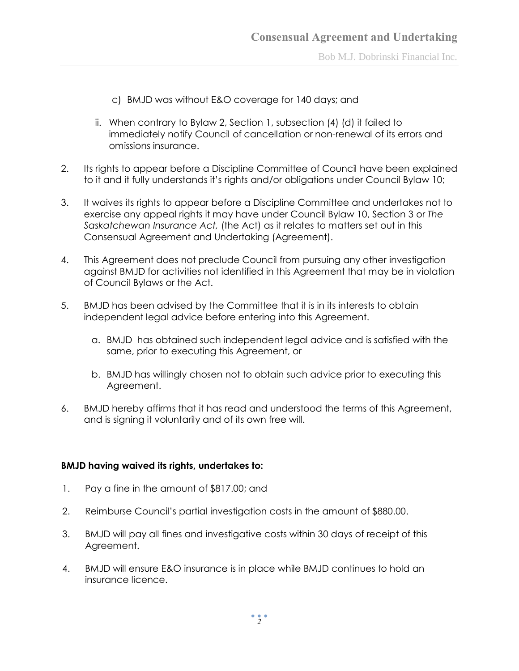Bob M.J. Dobrinski Financial Inc.

- c) BMJD was without E&O coverage for 140 days; and
- ii. When contrary to Bylaw 2, Section 1, subsection (4) (d) it failed to immediately notify Council of cancellation or non-renewal of its errors and omissions insurance.
- 2. Its rights to appear before a Discipline Committee of Council have been explained to it and it fully understands it's rights and/or obligations under Council Bylaw 10;
- 3. It waives its rights to appear before a Discipline Committee and undertakes not to exercise any appeal rights it may have under Council Bylaw 10, Section 3 or *The Saskatchewan Insurance Act,* (the Act) as it relates to matters set out in this Consensual Agreement and Undertaking (Agreement).
- 4. This Agreement does not preclude Council from pursuing any other investigation against BMJD for activities not identified in this Agreement that may be in violation of Council Bylaws or the Act.
- 5. BMJD has been advised by the Committee that it is in its interests to obtain independent legal advice before entering into this Agreement.
	- a. BMJD has obtained such independent legal advice and is satisfied with the same, prior to executing this Agreement, or
	- b. BMJD has willingly chosen not to obtain such advice prior to executing this Agreement.
- 6. BMJD hereby affirms that it has read and understood the terms of this Agreement, and is signing it voluntarily and of its own free will.

#### **BMJD having waived its rights, undertakes to:**

- 1. Pay a fine in the amount of \$817.00; and
- 2. Reimburse Council's partial investigation costs in the amount of \$880.00.
- 3. BMJD will pay all fines and investigative costs within 30 days of receipt of this Agreement.
- 4. BMJD will ensure E&O insurance is in place while BMJD continues to hold an insurance licence.